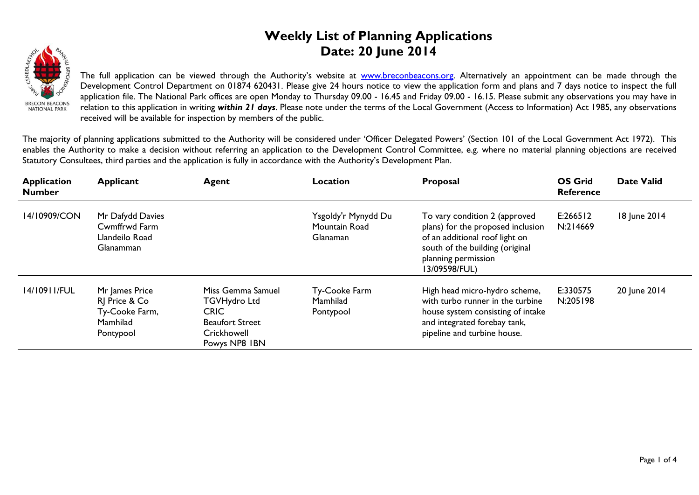## **Weekly List of Planning Applications Date: 20 June 2014**



The full application can be viewed through the Authority's website at **www.breconbeacons.org**. Alternatively an appointment can be made through the Development Control Department on 01874 620431. Please give 24 hours notice to view the application form and plans and 7 days notice to inspect the full application file. The National Park offices are open Monday to Thursday 09.00 - 16.45 and Friday 09.00 - 16.15. Please submit any observations you may have in relation to this application in writing *within 21 days*. Please note under the terms of the Local Government (Access to Information) Act 1985, any observations received will be available for inspection by members of the public.

The majority of planning applications submitted to the Authority will be considered under 'Officer Delegated Powers' (Section 101 of the Local Government Act 1972). This enables the Authority to make a decision without referring an application to the Development Control Committee, e.g. where no material planning objections are received Statutory Consultees, third parties and the application is fully in accordance with the Authority's Development Plan.

| <b>Application</b><br><b>Number</b> | <b>Applicant</b>                                                           | <b>Agent</b>                                                                                                      | Location                                                | Proposal                                                                                                                                                                        | <b>OS Grid</b><br><b>Reference</b> | <b>Date Valid</b> |
|-------------------------------------|----------------------------------------------------------------------------|-------------------------------------------------------------------------------------------------------------------|---------------------------------------------------------|---------------------------------------------------------------------------------------------------------------------------------------------------------------------------------|------------------------------------|-------------------|
| 14/10909/CON                        | Mr Dafydd Davies<br>Cwmffrwd Farm<br>Llandeilo Road<br><b>Glanamman</b>    |                                                                                                                   | Ysgoldy'r Mynydd Du<br>Mountain Road<br><b>Glanaman</b> | To vary condition 2 (approved<br>plans) for the proposed inclusion<br>of an additional roof light on<br>south of the building (original<br>planning permission<br>13/09598/FUL) | E:266512<br>N:214669               | 18 June 2014      |
| 14/10911/FUL                        | Mr James Price<br>RJ Price & Co<br>Ty-Cooke Farm,<br>Mamhilad<br>Pontypool | Miss Gemma Samuel<br><b>TGVHydro Ltd</b><br><b>CRIC</b><br><b>Beaufort Street</b><br>Crickhowell<br>Powys NP8 IBN | Ty-Cooke Farm<br>Mamhilad<br>Pontypool                  | High head micro-hydro scheme,<br>with turbo runner in the turbine<br>house system consisting of intake<br>and integrated forebay tank,<br>pipeline and turbine house.           | E:330575<br>N:205198               | 20 June 2014      |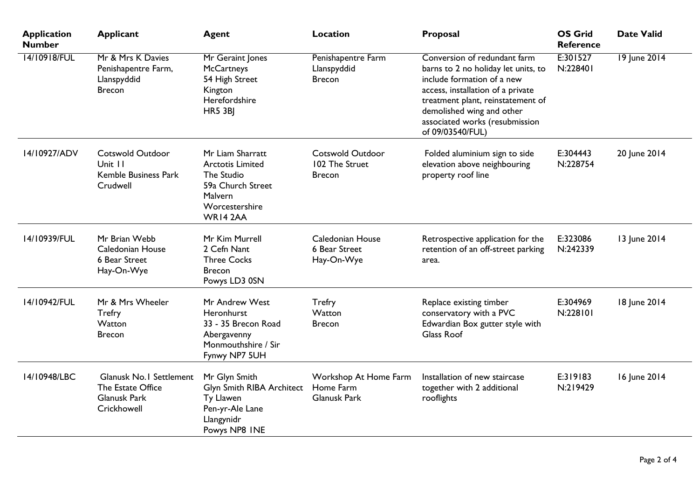| <b>Application</b><br><b>Number</b> | <b>Applicant</b>                                                                   | <b>Agent</b>                                                                                                            | <b>Location</b>                                            | Proposal                                                                                                                                                                                                                                                       | <b>OS Grid</b><br><b>Reference</b> | <b>Date Valid</b> |
|-------------------------------------|------------------------------------------------------------------------------------|-------------------------------------------------------------------------------------------------------------------------|------------------------------------------------------------|----------------------------------------------------------------------------------------------------------------------------------------------------------------------------------------------------------------------------------------------------------------|------------------------------------|-------------------|
| 14/10918/FUL                        | Mr & Mrs K Davies<br>Penishapentre Farm,<br>Llanspyddid<br><b>Brecon</b>           | Mr Geraint Jones<br><b>McCartneys</b><br>54 High Street<br>Kington<br>Herefordshire<br><b>HR5 3BJ</b>                   | Penishapentre Farm<br>Llanspyddid<br><b>Brecon</b>         | Conversion of redundant farm<br>barns to 2 no holiday let units, to<br>include formation of a new<br>access, installation of a private<br>treatment plant, reinstatement of<br>demolished wing and other<br>associated works (resubmission<br>of 09/03540/FUL) | E:301527<br>N:228401               | 19 June 2014      |
| 14/10927/ADV                        | <b>Cotswold Outdoor</b><br>Unit 11<br>Kemble Business Park<br>Crudwell             | Mr Liam Sharratt<br><b>Arctotis Limited</b><br>The Studio<br>59a Church Street<br>Malvern<br>Worcestershire<br>WR14 2AA | <b>Cotswold Outdoor</b><br>102 The Struet<br><b>Brecon</b> | Folded aluminium sign to side<br>elevation above neighbouring<br>property roof line                                                                                                                                                                            | E:304443<br>N:228754               | 20 June 2014      |
| 14/10939/FUL                        | Mr Brian Webb<br>Caledonian House<br>6 Bear Street<br>Hay-On-Wye                   | Mr Kim Murrell<br>2 Cefn Nant<br><b>Three Cocks</b><br><b>Brecon</b><br>Powys LD3 0SN                                   | Caledonian House<br>6 Bear Street<br>Hay-On-Wye            | Retrospective application for the<br>retention of an off-street parking<br>area.                                                                                                                                                                               | E:323086<br>N:242339               | 13 June 2014      |
| 14/10942/FUL                        | Mr & Mrs Wheeler<br><b>Trefry</b><br>Watton<br><b>Brecon</b>                       | Mr Andrew West<br>Heronhurst<br>33 - 35 Brecon Road<br>Abergavenny<br>Monmouthshire / Sir<br>Fynwy NP7 5UH              | <b>Trefry</b><br>Watton<br><b>Brecon</b>                   | Replace existing timber<br>conservatory with a PVC<br>Edwardian Box gutter style with<br><b>Glass Roof</b>                                                                                                                                                     | E:304969<br>N:228101               | 18 June 2014      |
| 14/10948/LBC                        | Glanusk No.1 Settlement<br>The Estate Office<br><b>Glanusk Park</b><br>Crickhowell | Mr Glyn Smith<br>Glyn Smith RIBA Architect<br>Ty Llawen<br>Pen-yr-Ale Lane<br>Llangynidr<br>Powys NP8 INE               | Workshop At Home Farm<br>Home Farm<br>Glanusk Park         | Installation of new staircase<br>together with 2 additional<br>rooflights                                                                                                                                                                                      | E:319183<br>N:219429               | 16 June 2014      |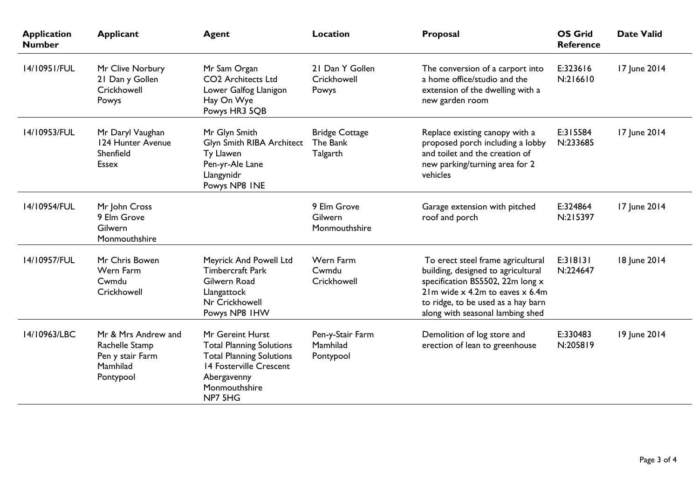| <b>Application</b><br><b>Number</b> | <b>Applicant</b>                                                                   | <b>Agent</b>                                                                                                                                                 | <b>Location</b>                               | Proposal                                                                                                                                                                                                                   | <b>OS Grid</b><br><b>Reference</b> | <b>Date Valid</b> |
|-------------------------------------|------------------------------------------------------------------------------------|--------------------------------------------------------------------------------------------------------------------------------------------------------------|-----------------------------------------------|----------------------------------------------------------------------------------------------------------------------------------------------------------------------------------------------------------------------------|------------------------------------|-------------------|
| 14/10951/FUL                        | Mr Clive Norbury<br>21 Dan y Gollen<br>Crickhowell<br>Powys                        | Mr Sam Organ<br>CO <sub>2</sub> Architects Ltd<br>Lower Galfog Llanigon<br>Hay On Wye<br>Powys HR3 5QB                                                       | 21 Dan Y Gollen<br>Crickhowell<br>Powys       | The conversion of a carport into<br>a home office/studio and the<br>extension of the dwelling with a<br>new garden room                                                                                                    | E:323616<br>N:216610               | 17 June 2014      |
| 14/10953/FUL                        | Mr Daryl Vaughan<br>124 Hunter Avenue<br>Shenfield<br><b>Essex</b>                 | Mr Glyn Smith<br>Glyn Smith RIBA Architect<br>Ty Llawen<br>Pen-yr-Ale Lane<br>Llangynidr<br>Powys NP8 INE                                                    | <b>Bridge Cottage</b><br>The Bank<br>Talgarth | Replace existing canopy with a<br>proposed porch including a lobby<br>and toilet and the creation of<br>new parking/turning area for 2<br>vehicles                                                                         | E:315584<br>N:233685               | 17 June 2014      |
| 14/10954/FUL                        | Mr John Cross<br>9 Elm Grove<br>Gilwern<br>Monmouthshire                           |                                                                                                                                                              | 9 Elm Grove<br>Gilwern<br>Monmouthshire       | Garage extension with pitched<br>roof and porch                                                                                                                                                                            | E:324864<br>N:215397               | 17 June 2014      |
| 14/10957/FUL                        | Mr Chris Bowen<br>Wern Farm<br>Cwmdu<br>Crickhowell                                | Meyrick And Powell Ltd<br><b>Timbercraft Park</b><br>Gilwern Road<br>Llangattock<br>Nr Crickhowell<br>Powys NP8 IHW                                          | Wern Farm<br>Cwmdu<br>Crickhowell             | To erect steel frame agricultural<br>building, designed to agricultural<br>specification BS5502, 22m long x<br>$21m$ wide x 4.2m to eaves x 6.4m<br>to ridge, to be used as a hay barn<br>along with seasonal lambing shed | E:318131<br>N:224647               | 18 June 2014      |
| 14/10963/LBC                        | Mr & Mrs Andrew and<br>Rachelle Stamp<br>Pen y stair Farm<br>Mamhilad<br>Pontypool | Mr Gereint Hurst<br><b>Total Planning Solutions</b><br><b>Total Planning Solutions</b><br>14 Fosterville Crescent<br>Abergavenny<br>Monmouthshire<br>NP7 5HG | Pen-y-Stair Farm<br>Mamhilad<br>Pontypool     | Demolition of log store and<br>erection of lean to greenhouse                                                                                                                                                              | E:330483<br>N:205819               | 19 June 2014      |